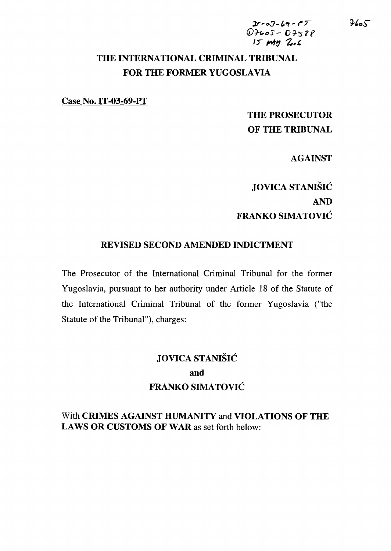# THE INTERNATIONAL CRIMINAL TRIBUNAL FOR THE FORMER YUGOSLAVIA

Case No. IT-03-69-PT

# THE PROSECUTOR OF THE TRIBUNAL

 $07005 - 07588$ I:) ~!J *'2,,",* 

AGAINST

# JOVICA STANISIC AND FRANKO SIMATOVIC

## REVISED SECOND AMENDED INDICTMENT

The Prosecutor of the International Criminal Tribunal for the former Yugoslavia, pursuant to her authority under Article 18 of the Statute of the International Criminal Tribunal of the former Yugoslavia ("the Statute of the Tribunal"), charges:

# JOVICA STANISIC and FRANKO SIMATOVIC

With CRIMES AGAINST HUMANITY and VIOLATIONS OF THE LAWS OR CUSTOMS OF WAR as set forth below: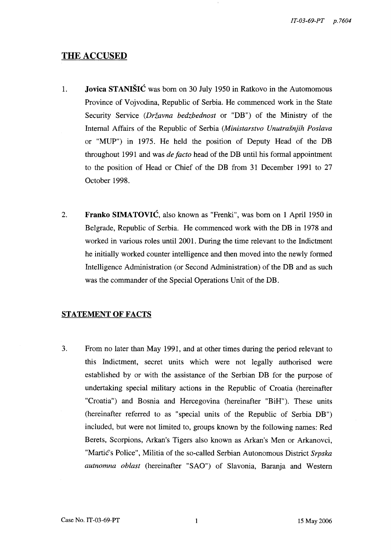### THE ACCUSED

- 1. **Jovica STANIŠIĆ** was born on 30 July 1950 in Ratkovo in the Automomous Province of Vojvodina, Republic of Serbia. He commenced work in the State Security Service *(Drzavna bedzbednost* or "DB ") of the Ministry of the Internal Affairs of the Republic of Serbia *(Ministarstvo Unutrasnjih Poslava*  or "MUP") in 1975. He held the position of Deputy Head of the DB throughout 1991 and was *defacto* head of the DB until his formal appointment to the position of Head or Chief of the DB from 31 December 1991 to 27 October 1998.
- 2. Franko SIMATOVIC, also known as "Frenki", was born on 1 April 1950 in Belgrade, Republic of Serbia. He commenced work with the DB in 1978 and worked in various roles until 2001. During the time relevant to the Indictment he initially worked counter intelligence and then moved into the newly formed Intelligence Administration (or Second Administration) of the DB and as such was the commander of the Special Operations Unit of the DB.

#### STATEMENT OF FACTS

3. From no later than May 1991, and at other times during the period relevant to this Indictment, secret units which were not legally authorised were established by or with the assistance of the Serbian DB for the purpose of undertaking special military actions in the Republic of Croatia (hereinafter "Croatia") and Bosnia and Hercegovina (hereinafter "BiH"). These units (hereinafter referred to as "special units of the Republic of Serbia DB") included, but were not limited to, groups known by the following names: Red Berets, Scorpions, Arkan's Tigers also known as Arkan's Men or Arkanovci, "Martic's Police", Militia of the so-called Serbian Autonomous District *Srpska autnomna oblast* (hereinafter "SAO") of Slavonia, Baranja and Western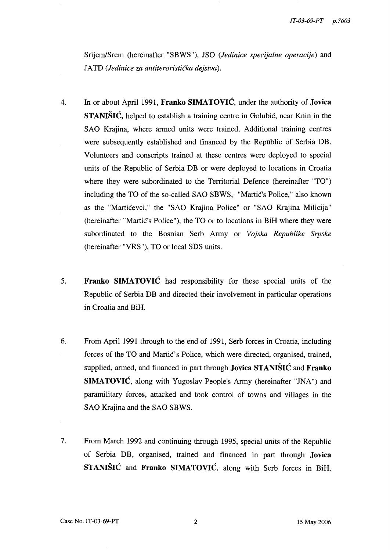SrijemlSrem (hereinafter "SBWS"), JSO *(Jedinice specijalne operacije)* and JATD *(Jedinice za antiteroristicka dejstva).* 

- 4. In or about April 1991, **Franko SIMATOVIC,** under the authority of **Jovica STANIŠIĆ**, helped to establish a training centre in Golubić, near Knin in the SAO Krajina, where armed units were trained. Additional training centres were subsequently established and financed by the Republic of Serbia DB. Volunteers and conscripts trained at these centres were deployed to special units of the Republic of Serbia DB or were deployed to locations in Croatia where they were subordinated to the Territorial Defence (hereinafter "TO") including the TO of the so-called SAO SBWS, "Martic's Police," also known as the "Marticevci," the "SAO Krajina Police" or "SAO Krajina Milicija" (hereinafter "Martic's Police"), the TO or to locations in BiR where they were subordinated to the Bosnian Serb Army or *Vojska Repuhlike Srpske*  (hereinafter "VRS"), TO or local SDS units.
- 5. **Franko SIMATOVIC** had responsibility for these special units of the Republic of Serbia DB and directed their involvement in particular operations in Croatia and BiR.
- 6. From April 1991 through to the end of 1991, Serb forces in Croatia, including forces of the TO and Martic's Police, which were directed, organised, trained, supplied, armed, and financed in part through **Jovica STANISIC** and **Franko SIMATOVIC,** along with Yugoslav People's Army (hereinafter "JNA") and paramilitary forces, attacked and took control of towns and villages in the SAO Krajina and the SAO SBWS.
- 7. From March 1992 and continuing through 1995, special units of the Republic of Serbia DB, organised, trained and financed in part through **Jovica STANISIC** and **Franko SIMATOVIC,** along with Serb forces in BiR,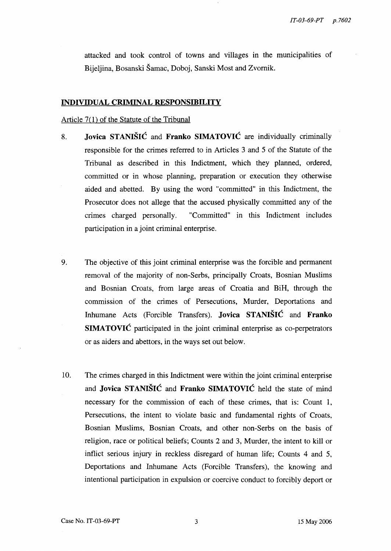attacked and took control of towns and villages in the municipalities of Bijeljina, Bosanski Samac, Doboj, Sanski Most and Zvornik.

#### **INDIVIDUAL CRIMINAL RESPONSIBILITY**

#### Article 7(1) of the Statute of the Tribunal

- 8. **Jovica STANIŠIĆ** and **Franko SIMATOVIĆ** are individually criminally responsible for the crimes referred to in Articles 3 and 5 of the Statute of the Tribunal as described in this Indictment, which they planned, ordered, committed or in whose planning, preparation or execution they otherwise aided and abetted. By using the word "committed" in this Indictment, the Prosecutor does not allege that the accused physically committed any of the crimes charged personally. "Committed" in this Indictment includes participation in a joint criminal enterprise.
- 9. The objective of this joint criminal enterprise was the forcible and permanent removal of the majority of non-Serbs, principally Croats, Bosnian Muslims and Bosnian Croats, from large areas of Croatia and BiH, through the commission of the crimes of Persecutions, Murder, Deportations and Inhumane Acts (Forcible Transfers). **Jovica STANISIC** and **Franko SIMATOVIC** participated in the joint criminal enterprise as co-perpetrators or as aiders and abettors, in the ways set out below.
- 10. The crimes charged in this Indictment were within the joint criminal enterprise and **Jovica STANISIC and Franko SIMATOVIC** held the state of mind necessary for the commission of each of these crimes, that is: Count 1, Persecutions, the intent to violate basic and fundamental rights of Croats, Bosnian Muslims, Bosnian Croats, and other non-Serbs on the basis of religion, race or political beliefs; Counts 2 and 3, Murder, the intent to kill or inflict serious injury in reckless disregard of human life; Counts 4 and 5, Deportations and Inhumane Acts (Forcible Transfers), the knowing and intentional participation in expulsion or coercive conduct to forcibly deport or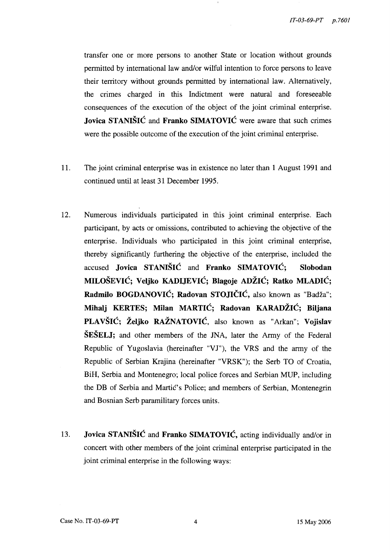transfer one or more persons to another State or location without grounds permitted by international law and/or wilful intention to force persons to leave their territory without grounds permitted by international law. Alternatively, the crimes charged in this Indictment were natural and foreseeable consequences of the execution of the object of the joint criminal enterprise. Jovica STANIŠIĆ and Franko SIMATOVIĆ were aware that such crimes were the possible outcome of the execution of the joint criminal enterprise.

- 11. The joint criminal enterprise was in existence no later than 1 August 1991 and continued until at least 31 December 1995.
- 12. Numerous individuals participated in this joint criminal enterprise. Each participant, by acts or omissions, contributed to achieving the objective of the enterprise. Individuals who participated in this joint criminal enterprise, thereby significantly furthering the objective of the enterprise, included the accused Jovica STANISIC and Franko SIMATOVIC; Slobodan MILOŠEVIĆ; Veljko KADLJEVIĆ; Blagoje ADŽIĆ; Ratko MLADIĆ; Radmilo BOGDANOVIĆ; Radovan STOJIČIĆ, also known as "Badža"; Mihalj KERTES; Milan MARTIĆ; Radovan KARADŽIĆ; Biljana PLAVŠIĆ; Željko RAŽNATOVIĆ, also known as "Arkan"; Vojislav SESELJ; and other members of the JNA, later the Army of the Federal Republic of Yugoslavia (hereinafter "VJ"), the VRS and the army of the Republic of Serbian Krajina (hereinafter "VRSK"); the Serb TO of Croatia, BiH, Serbia and Montenegro; local police forces and Serbian MUP, including the DB of Serbia and Martic's Police; and members of Serbian, Montenegrin and Bosnian Serb paramilitary forces units.
- 13. **Jovica STANIŠIĆ** and **Franko SIMATOVIĆ**, acting individually and/or in concert with other members of the joint criminal enterprise participated in the joint criminal enterprise in the following ways: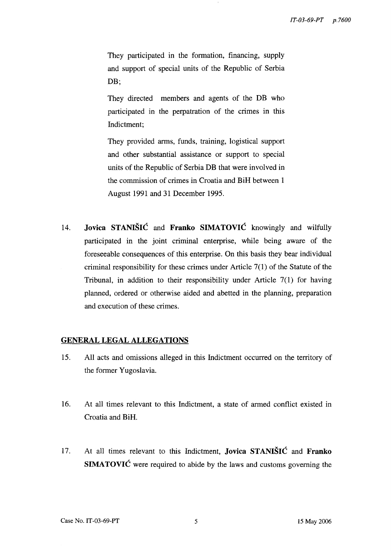They participated in the formation, financing, supply and support of special units of the Republic of Serbia DB:

They directed members and agents of the DB who participated in the perpatration of the crimes in this Indictment;

They provided arms, funds, training, logistical support and other substantial assistance or support to special units of the Republic of Serbia DB that were involved in the commission of crimes in Croatia and BiH between 1 August 1991 and 31 December 1995.

14. **Jovica STANISIC and Franko SIMATOVIC** knowingly and wilfully participated in the joint criminal enterprise, while being aware of the foreseeable consequences of this enterprise. On this basis they bear individual criminal responsibility for these crimes under Article 7(1) of the Statute of the Tribunal, in addition to their responsibility under Article 7(1) for having planned, ordered or otherwise aided and abetted in the planning, preparation and execution of these crimes.

## **GENERAL LEGAL ALLEGATIONS**

- 15. All acts and omissions alleged in this Indictment occurred on the territory of the former Yugoslavia.
- 16. At all times relevant to this Indictment, a state of armed conflict existed in Croatia and BiH.
- 17. At all times relevant to this Indictment, **Jovica STANISIC and Franko SIMATOVIC** were required to abide by the laws and customs governing the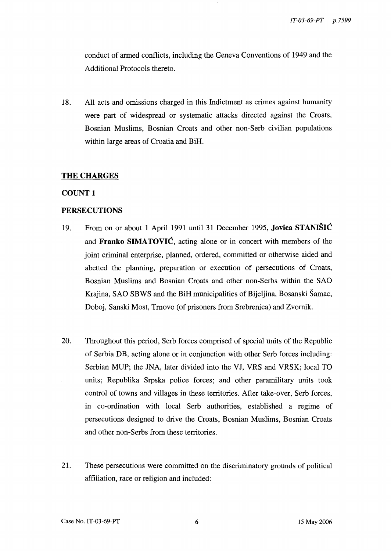conduct of armed conflicts, including the Geneva Conventions of 1949 and the Additional Protocols thereto.

18. All acts and omissions charged in this Indictment as crimes against humanity were part of widespread or systematic attacks directed against the Croats, Bosnian Muslims, Bosnian Croats and other non-Serb civilian populations within large areas of Croatia and BiH.

#### THE CHARGES

#### COUNT 1

#### PERSECUTIONS

- 19. From on or about 1 April 1991 until 31 December 1995, Jovica STANIŠIĆ and Franko SIMATOVIC, acting alone or in concert with members of the joint criminal enterprise, planned, ordered, committed or otherwise aided and abetted the planning, preparation or execution of persecutions of Croats, Bosnian Muslims and Bosnian Croats and other non-Serbs within the SAO Krajina, SAO SBWS and the BiH municipalities of Bijeljina, Bosanski Samac, Doboj, Sanski Most, Tmovo (of prisoners from Srebrenica) and Zvomik.
- 20. Throughout this period, Serb forces comprised of special units of the Republic of Serbia DB, acting alone or in conjunction with other Serb forces including: Serbian MUP; the JNA, later divided into the VJ, VRS and VRSK; local TO units; Republika Srpska police forces; and other paramilitary units took control of towns and villages in these territories. After take-over, Serb forces, in co-ordination with local Serb authorities, established a regime of persecutions designed to drive the Croats, Bosnian Muslims, Bosnian Croats and other non-Serbs from these territories.
- 21. These persecutions were committed on the discriminatory grounds of political affiliation, race or religion and included: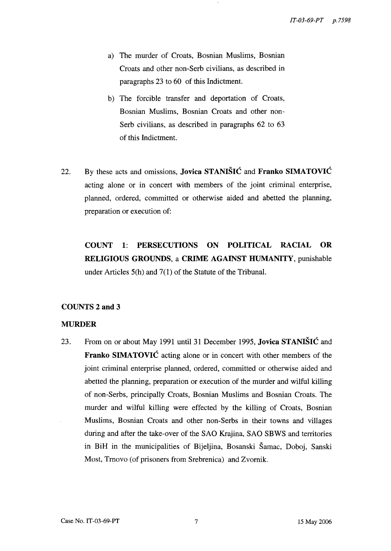- a) The murder of Croats, Bosnian Muslims, Bosnian Croats and other non-Serb civilians, as described in paragraphs 23 to 60 of this Indictment.
- b) The forcible transfer and deportation of Croats, Bosnian Muslims, Bosnian Croats and other non-Serb civilians, as described in paragraphs 62 to 63 of this Indictment.
- 22. By these acts and omissions, Jovica STANISIC and Franko SIMATOVIC acting alone or in concert with members of the joint criminal enterprise, planned, ordered, committed or otherwise aided and abetted the planning, preparation or execution of:

COUNT 1: PERSECUTIONS ON POLITICAL RACIAL OR RELIGIOUS GROUNDS, a CRIME AGAINST HUMANITY, punishable under Articles 5(h) and 7(1) of the Statute of the Tribunal.

#### COUNTS 2 and 3

#### MURDER

23. From on or about May 1991 until 31 December 1995, Jovica STANISIC and Franko SIMATOVIĆ acting alone or in concert with other members of the joint criminal enterprise planned, ordered, committed or otherwise aided and abetted the planning, preparation or execution of the murder and wilful killing of non-Serbs, principally Croats, Bosnian Muslims and Bosnian Croats. The murder and wilful killing were effected by the killing of Croats, Bosnian Muslims, Bosnian Croats and other non-Serbs in their towns and villages during and after the take-over of the SAO Krajina, SAO SBWS and territories in BiH in the municipalities of Bijeljina, Bosanski Samac, Doboj, Sanski Most, Tmovo (of prisoners from Srebrenica) and Zvomik.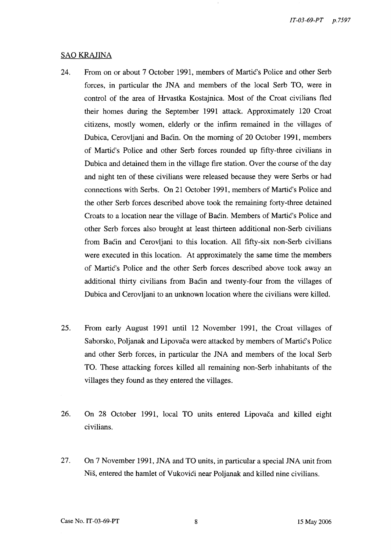#### SAOKRAJINA

- 24. From on or about 7 October 1991, members of Martic's Police and other Serb forces, in particular the JNA and members of the local Serb TO, were in control of the area of Hrvastka Kostajnica. Most of the Croat civilians fled their homes during the September 1991 attack. Approximately 120 Croat citizens, mostly women, elderly or the infirm remained in the villages of Dubica, Cerovljani and Bacin. On the morning of 20 October 1991, members of Martic's Police and other Serb forces rounded up fifty-three civilians in Dubica and detained them in the village fire station. Over the course of the day and night ten of these civilians were released because they were Serbs or had connections with Serbs. On 21 October 1991, members of Martic's Police and the other Serb forces described above took the remaining forty-three detained Croats to a location near the village of Bacin. Members of Martic's Police and other Serb forces also brought at least thirteen additional non-Serb civilians from Bacin and Cerovljani to this location. All fifty-six non-Serb civilians were executed in this location. At approximately the same time the members of Martic's Police and the other Serb forces described above took away an additional thirty civilians from Bacin and twenty-four from the villages of Dubica and Cerovljani to an unknown location where the civilians were killed.
- 25. From early August 1991 until 12 November 1991, the Croat villages of Saborsko, Poljanak and Lipovača were attacked by members of Martic's Police and other Serb forces, in particular the JNA and members of the local Serb TO. These attacking forces killed all remaining non-Serb inhabitants of the villages they found as they entered the villages.
- 26. On 28 October 1991, local TO units entered Lipovaca and killed eight civilians.
- 27. On 7 November 1991, JNA and TO units, in particular a special JNA unit from Niš, entered the hamlet of Vukovići near Poljanak and killed nine civilians.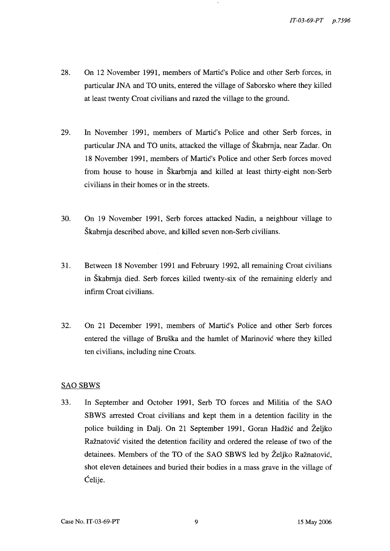- 28. On 12 November 1991, members of Martic's Police and other Serb forces, in particular JNA and TO units, entered the village of Saborsko where they killed at least twenty Croat civilians and razed the village to the ground.
- 29. In November 1991, members of Martic's Police and other Serb forces, in particular JNA and TO units, attacked the village of Skabmja, near Zadar. On 18 November 1991, members of Martic's Police and other Serb forces moved from house to house in Skarbmja and killed at least thirty-eight non-Serb civilians in their homes or in the streets.
- 30. On 19 November 1991, Serb forces attacked Nadin, a neighbour village to Skabmja described above, and killed seven non-Serb civilians.
- 31. Between 18 November 1991 and February 1992, all remaining Croat civilians in Skabmja died. Serb forces killed twenty-six of the remaining elderly and infirm Croat civilians.
- 32. On 21 December 1991, members of Martic's Police and other Serb forces entered the village of Bruska and the hamlet of Marinovic where they killed ten civilians, including nine Croats.

#### SAOSBWS

33. In September and October 1991, Serb TO forces and Militia of the SAO SBWS arrested Croat civilians and kept them in a detention facility in the police building in Dalj. On 21 September 1991, Goran Hadzic and Zeljko Raznatovic visited the detention facility and ordered the release of two of the detainees. Members of the TO of the SAO SBWS led by Zeljko Raznatovic, shot eleven detainees and buried their bodies in a mass grave in the village of Celije.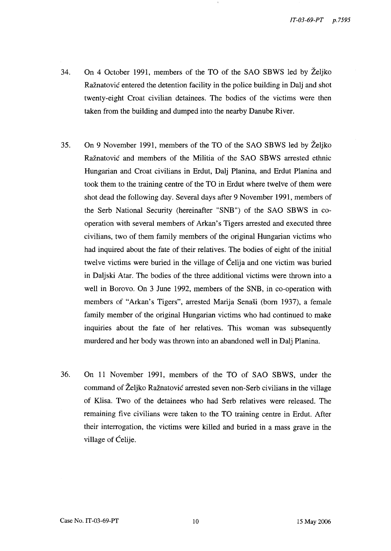- 34. On 4 October 1991, members of the TO of the SAO SBWS led by Zeljko Raznatovic entered the detention facility in the police building in Dalj and shot twenty-eight Croat civilian detainees. The bodies of the victims were then taken from the building and dumped into the nearby Danube River.
- 35. On 9 November 1991, members of the TO of the SAO SBWS led by Zeljko Raznatovic and members of the Militia of the SAO SBWS arrested ethnic Hungarian and Croat civilians in Erdut, Dalj Planina, and Erdut Planina and took them to the training centre of the TO in Erdut where twelve of them were shot dead the following day. Several days after 9 November 1991, members of the Serb National Security (hereinafter "SNB") of the SAO SBWS in cooperation with several members of Arkan's Tigers arrested and executed three civilians, two of them family members of the original Hungarian victims who had inquired about the fate of their relatives. The bodies of eight of the initial twelve victims were buried in the village of Celija and one victim was buried in Daljski Atar. The bodies of the three additional victims were thrown into a well in Borovo. On 3 June 1992, members of the SNB, in co-operation with members of "Arkan's Tigers", arrested Marija Senasi (born 1937), a female family member of the original Hungarian victims who had continued to make inquiries about the fate of her relatives. This woman was subsequently murdered and her body was thrown into an abandoned well in Dalj Planina.
- 36. On 11 November 1991, members of the TO of SAO SBWS, under the command of Zeljko Raznatovic arrested seven non-Serb civilians in the village of Klisa. Two of the detainees who had Serb relatives were released. The remaining five civilians were taken to the TO training centre in Erdut. After their interrogation, the victims were killed and buried in a mass grave in the village of Celije.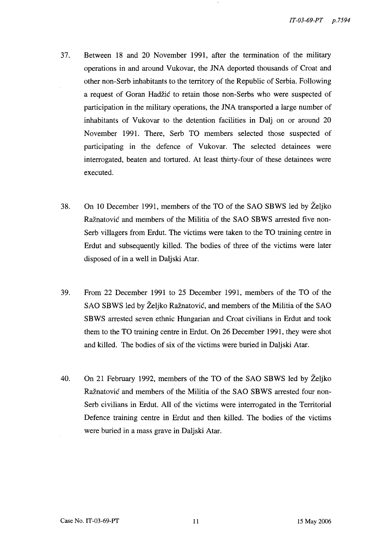- 37. Between 18 and 20 November 1991, after the termination of the military operations in and around Vukovar, the JNA deported thousands of Croat and other non-Serb inhabitants to the territory of the Republic of Serbia. Following a request of Goran Hadzic to retain those non-Serbs who were suspected of participation in the military operations, the JNA transported a large number of inhabitants of Vukovar to the detention facilities in DaIj on or around 20 November 1991. There, Serb TO members selected those suspected of participating in the defence of Vukovar. The selected detainees were interrogated, beaten and tortured. At least thirty-four of these detainees were executed.
- 38. On 10 December 1991, members of the TO of the SAO SBWS led by Zeljko Raznatovic and members of the Militia of the SAO SBWS arrested five non-Serb villagers from Erdut. The victims were taken to the TO training centre in Erdut and subsequently killed. The bodies of three of the victims were later disposed of in a well in Daljski Atar.
- 39. From 22 December 1991 to 25 December 1991, members of the TO of the SAO SBWS led by Zeljko Raznatovic, and members of the Militia of the SAO SBWS arrested seven ethnic Hungarian and Croat civilians in Erdut and took them to the TO training centre in Erdut. On 26 December 1991, they were shot and killed. The bodies of six of the victims were buried in Daljski Atar.
- 40. On 21 February 1992, members of the TO of the SAO SBWS led by Zeljko Raznatovic and members of the Militia of the SAO SBWS arrested four non-Serb civilians in Erdut. All of the victims were interrogated in the Territorial Defence training centre in Erdut and then killed. The bodies of the victims were buried in a mass grave in Daljski Atar.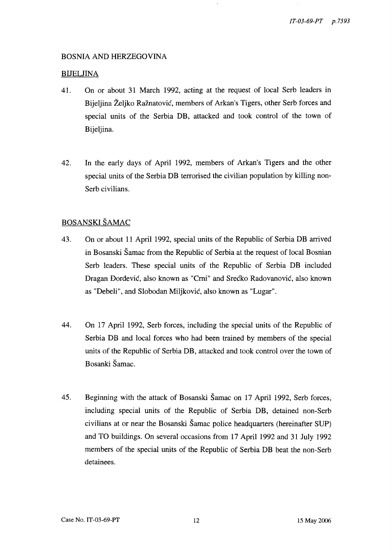#### BOSNIA AND HERZEGOVINA

#### BIJELJINA

- 41. On or about 31 March 1992, acting at the request of local Serb leaders in Bijeljina Zeljko Raznatovic, members of Arkan's Tigers, other Serb forces and special units of the Serbia DB, attacked and took control of the town of Bijeljina.
- 42. In the early days of April 1992, members of Arkan's Tigers and the other special units of the Serbia DB terrorised the civilian population by killing non-Serb civilians.

## BOSANSKI ŠAMAC

- 43. On or about 11 April 1992, special units of the Republic of Serbia DB arrived in Bosanski Samac from the Republic of Serbia at the request of local Bosnian Serb leaders. These special units of the Republic of Serbia DB included Dragan Dordevic, also known as "Cmi" and SrecKo Radovanovic, also known as "Debeli", and Slobodan Miljkovic, also known as "Lugar".
- 44. On 17 April 1992, Serb forces, including the special units of the Republic of Serbia DB and local forces who had been trained by members of the special units of the Republic of Serbia DB, attacked and took control over the town of Bosanki Samac.
- 45. Beginning with the attack of Bosanski Samac on 17 April 1992, Serb forces, including special units of the Republic of Serbia DB, detained non-Serb civilians at or near the Bosanski Samac police headquarters (hereinafter SUP) and TO buildings. On several occasions from 17 April 1992 and 31 July 1992 members of the special units of the Republic of Serbia DB beat the non-Serb detainees.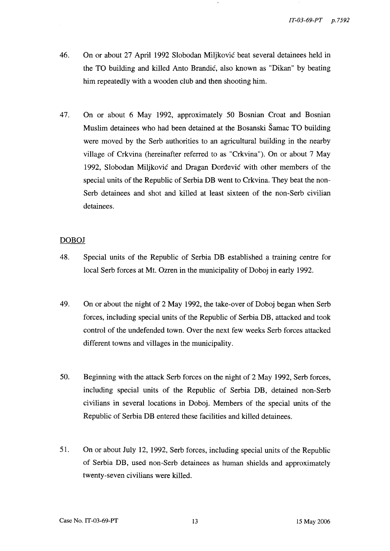- 46. On or about 27 April 1992 Slobodan Miljkovic beat several detainees held in the TO building and killed Anto Brandic, also known as "Dikan" by beating him repeatedly with a wooden club and then shooting him.
- 47. On or about 6 May 1992, approximately 50 Bosnian Croat and Bosnian Muslim detainees who had been detained at the Bosanski Samac TO building were moved by the Serb authorities to an agricultural building in the nearby village of Crkvina (hereinafter referred to as "Crkvina"). On or about 7 May 1992, Slobodan Miljkovic and Dragan Dordevic with other members of the special units of the Republic of Serbia DB went to Crkvina. They beat the non-Serb detainees and shot and killed at least sixteen of the non-Serb civilian detainees.

#### DOBOJ

- 48. Special units of the Republic of Serbia DB established a training centre for local Serb forces at Mt. Ozren in the municipality of Doboj in early 1992.
- 49. On or about the night of 2 May 1992, the take-over of Doboj began when Serb forces, including special units of the Republic of Serbia DB, attacked and took control of the undefended town. Over the next few weeks Serb forces attacked different towns and villages in the municipality.
- 50. Beginning with the attack Serb forces on the night of 2 May 1992, Serb forces, including special units of the Republic of Serbia DB, detained non-Serb civilians in several locations in Doboj. Members of the special units of the Republic of Serbia DB entered these facilities and killed detainees.
- 51. On or about July 12, 1992, Serb forces, including special units of the Republic of Serbia DB, used non-Serb detainees as human shields and approximately twenty-seven civilians were killed.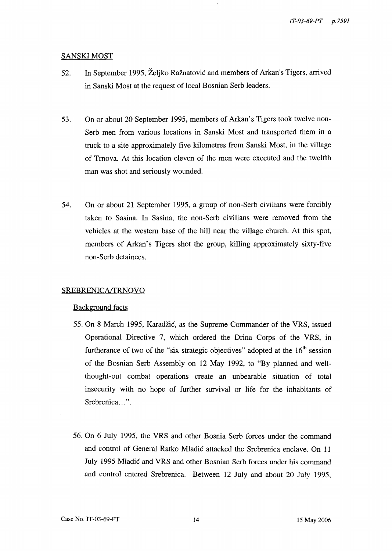#### **SANSKI MOST**

- 52. In September 1995, Zeljko Raznatovic and members of Arkan's Tigers, arrived in Sanski Most at the request of local Bosnian Serb leaders.
- 53. On or about 20 September 1995, members of Arkan's Tigers took twelve non-Serb men from various locations in Sanski Most and transported them in a truck to a site approximately five kilometres from Sanski Most, in the village of Trnova. At this location eleven of the men were executed and the twelfth man was shot and seriously wounded.
- 54. On or about 21 September 1995, a group of non-Serb civilians were forcibly taken to Sasina. In Sasina, the non-Serb civilians were removed from the vehicles at the western base of the hill near the village church. At this spot, members of Arkan's Tigers shot the group, killing approximately sixty-five non-Serb detainees.

#### SREBRENICA/TRNOVO

#### Background facts

- 55. On 8 March 1995, Karadzic, as the Supreme Commander of the VRS, issued Operational Directive 7, which ordered the Drina Corps of the VRS, in furtherance of two of the "six strategic objectives" adopted at the  $16<sup>th</sup>$  session of the Bosnian Serb Assembly on 12 May 1992, to "By planned and wellthought-out combat operations create an unbearable situation of total insecurity with no hope of further survival or life for the inhabitants of Srebrenica...".
- 56. On 6 July 1995, the VRS and other Bosnia Serb forces under the command and control of General Ratko Mladic attacked the Srebrenica enclave. On 11 July 1995 Mladic and VRS and other Bosnian Serb forces under his command and control entered Srebrenica. Between 12 July and about 20 July 1995,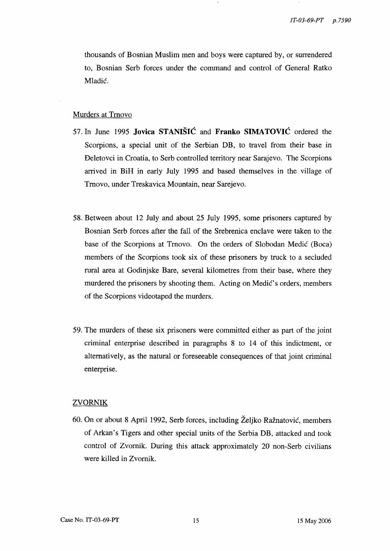thousands of Bosnian Muslim men and boys were captured by, or surrendered to, Bosnian Serb forces under the command and control of General Ratko Mladic.

#### Murders at Trnovo

- 57. In June 1995 **Jovica STANISIC** and **Franko SIMATOVIC** ordered the Scorpions, a special unit of the Serbian DB, to travel from their base in Deletovci in Croatia, to Serb controlled territory near Sarajevo. The Scorpions arrived in BiH in early July 1995 and based themselves in the village of Trnovo, under Treskavica Mountain, near Sarejevo.
- 58. Between about 12 July and about 25 July 1995, some prisoners captured by Bosnian Serb forces after the fall of the Srebrenica enclave were taken to the base of the Scorpions at Trnovo. On the orders of Slobodan Medic (Boca) members of the Scorpions took six of these prisoners by truck to a secluded rural area at Godinjske Bare, several kilometres from their base, where they murdered the prisoners by shooting them. Acting on Medic's orders, members of the Scorpions videotaped the murders.
- 59. The murders of these six prisoners were committed either as part of the joint criminal enterprise described in paragraphs 8 to 14 of this indictment, or alternatively, as the natural or foreseeable consequences of that joint criminal enterprise.

#### ZVORNIK

60. On or about 8 April 1992, Serb forces, including Zeljko Raznatovic, members of Arkan's Tigers and other special units of the Serbia DB, attacked and took control of Zvornik. During this attack approximately 20 non-Serb civilians were killed in Zvornik.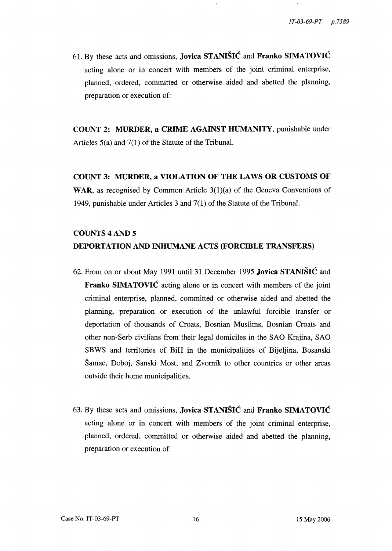61. By these acts and omissions, Jovica STANISIC and Franko SIMATOVIC acting alone or in concert with members of the joint criminal enterprise, planned, ordered, committed or otherwise aided and abetted the planning, preparation or execution of:

COUNT 2: MURDER, a CRIME AGAINST HUMANITY, punishable under Articles 5(a) and 7(1) of the Statute of the Tribunal.

COUNT 3: MURDER, a VIOLATION OF THE LAWS OR CUSTOMS OF **WAR**, as recognised by Common Article  $3(1)(a)$  of the Geneva Conventions of 1949, punishable under Articles 3 and 7(1) of the Statute of the Tribunal.

# COUNTS 4 AND 5 DEPORTATION AND INHUMANE ACTS (FORCIBLE TRANSFERS)

- 62. From on or about May 1991 until 31 December 1995 Jovica STANISIC and Franko SIMATOVIĆ acting alone or in concert with members of the joint criminal enterprise, planned, committed or otherwise aided and abetted the planning, preparation or execution of the unlawful forcible transfer or deportation of thousands of Croats, Bosnian Muslims, Bosnian Croats and other non-Serb civilians from their legal domiciles in the SAG Krajina, SAG SBWS and territories of BiH in the municipalities of Bijeljina, Bosanski Samac, Doboj, Sanski Most, and Zvomik to other countries or other areas outside their home municipalities.
- 63. By these acts and omissions, Jovica STANIŠIĆ and Franko SIMATOVIĆ acting alone or in concert with members of the joint criminal enterprise, planned, ordered, committed or otherwise aided and abetted the planning, preparation or execution of: